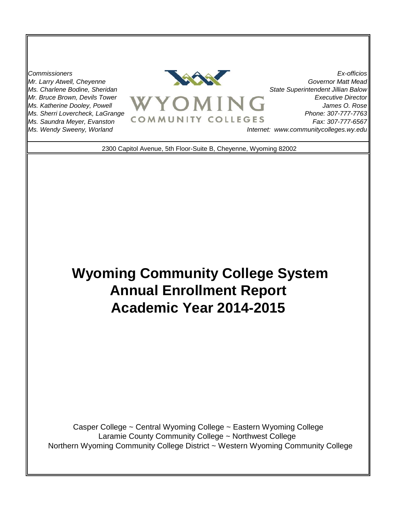*Mr. Larry Atwell, Cheyenne Ms. Charlene Bodine, Sheridan Mr. Bruce Brown, Devils Tower Ms. Katherine Dooley, Powell Ms. Saundra Meyer, Evanston Ms. Wendy Sweeny, Worland Ms. Sherri Lovercheck, LaGrange*



*Executive Director James O. Rose Phone: 307-777-7763 Governor Matt Mead State Superintendent Jillian Balow Fax: 307-777-6567 Internet: www.communitycolleges.wy.edu*

2300 Capitol Avenue, 5th Floor-Suite B, Cheyenne, Wyoming 82002

# **Wyoming Community College System Annual Enrollment Report Academic Year 2014-2015**

 Northern Wyoming Community College District ~ Western Wyoming Community College Casper College ~ Central Wyoming College ~ Eastern Wyoming College Laramie County Community College ~ Northwest College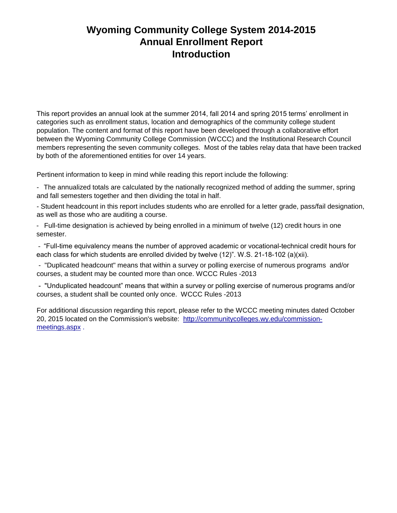# **Wyoming Community College System 2014-2015 Annual Enrollment Report Introduction**

This report provides an annual look at the summer 2014, fall 2014 and spring 2015 terms' enrollment in categories such as enrollment status, location and demographics of the community college student population. The content and format of this report have been developed through a collaborative effort between the Wyoming Community College Commission (WCCC) and the Institutional Research Council members representing the seven community colleges. Most of the tables relay data that have been tracked by both of the aforementioned entities for over 14 years.

Pertinent information to keep in mind while reading this report include the following:

- The annualized totals are calculated by the nationally recognized method of adding the summer, spring and fall semesters together and then dividing the total in half.

- Student headcount in this report includes students who are enrolled for a letter grade, pass/fail designation, as well as those who are auditing a course.

- Full-time designation is achieved by being enrolled in a minimum of twelve (12) credit hours in one semester.

 - "Full-time equivalency means the number of approved academic or vocational-technical credit hours for each class for which students are enrolled divided by twelve (12)". W.S. 21-18-102 (a)(xii).

 - "Duplicated headcount" means that within a survey or polling exercise of numerous programs and/or courses, a student may be counted more than once. WCCC Rules -2013

 - "Unduplicated headcount" means that within a survey or polling exercise of numerous programs and/or courses, a student shall be counted only once. WCCC Rules -2013

For additional discussion regarding this report, please refer to the WCCC meeting minutes dated October 20, 2015 located on the Commission's website: http://communitycolleges.wy.edu/commissionmeetings.aspx.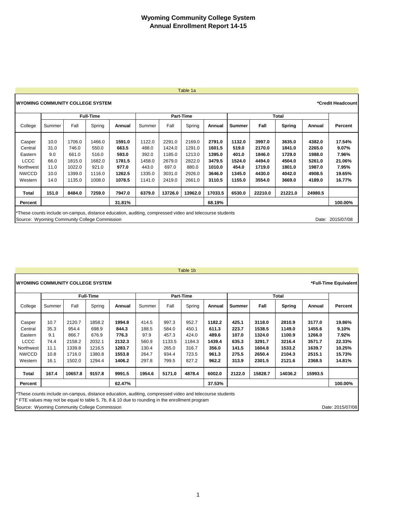#### Table 1a

| <b>IWYOMING COMMUNITY COLLEGE SYSTEM</b>     |        |        |                  |                                                                                                         |        |         |                  |         |               |         |         |         | *Credit Headcount |
|----------------------------------------------|--------|--------|------------------|---------------------------------------------------------------------------------------------------------|--------|---------|------------------|---------|---------------|---------|---------|---------|-------------------|
|                                              |        |        | <b>Full-Time</b> |                                                                                                         |        |         | <b>Part-Time</b> |         |               |         | Total   |         |                   |
| College                                      | Summer | Fall   | Spring           | Annual                                                                                                  | Summer | Fall    | Spring           | Annual  | <b>Summer</b> | Fall    | Spring  | Annual  | Percent           |
| Casper                                       | 10.0   | 1706.0 | 1466.0           | 1591.0                                                                                                  | 1122.0 | 2291.0  | 2169.0           | 2791.0  | 1132.0        | 3997.0  | 3635.0  | 4382.0  | 17.54%            |
| Central                                      | 31.0   | 746.0  | 550.0            | 663.5                                                                                                   | 488.0  | 1424.0  | 1291.0           | 1601.5  | 519.0         | 2170.0  | 1841.0  | 2265.0  | 9.07%             |
| Eastern                                      | 9.0    | 661.0  | 516.0            | 593.0                                                                                                   | 392.0  | 1185.0  | 1213.0           | 1395.0  | 401.0         | 1846.0  | 1729.0  | 1988.0  | 7.96%             |
| LCCC                                         | 66.0   | 1815.0 | 1682.0           | 1781.5                                                                                                  | 1458.0 | 2679.0  | 2822.0           | 3479.5  | 1524.0        | 4494.0  | 4504.0  | 5261.0  | 21.06%            |
| Northwest                                    | 11.0   | 1022.0 | 921.0            | 977.0                                                                                                   | 443.0  | 697.0   | 880.0            | 1010.0  | 454.0         | 1719.0  | 1801.0  | 1987.0  | 7.95%             |
| <b>NWCCD</b>                                 | 10.0   | 1399.0 | 1116.0           | 1262.5                                                                                                  | 1335.0 | 3031.0  | 2926.0           | 3646.0  | 1345.0        | 4430.0  | 4042.0  | 4908.5  | 19.65%            |
| Western                                      | 14.0   | 1135.0 | 1008.0           | 1078.5                                                                                                  | 1141.0 | 2419.0  | 2661.0           | 3110.5  | 1155.0        | 3554.0  | 3669.0  | 4189.0  | 16.77%            |
| Total                                        | 151.0  | 8484.0 | 7259.0           | 7947.0                                                                                                  | 6379.0 | 13726.0 | 13962.0          | 17033.5 | 6530.0        | 22210.0 | 21221.0 | 24980.5 |                   |
| Percent                                      |        |        |                  | 31.81%                                                                                                  |        |         |                  | 68.19%  |               |         |         |         | 100.00%           |
|                                              |        |        |                  | *These counts include on-campus, distance education, auditing, compressed video and telecourse students |        |         |                  |         |               |         |         |         |                   |
| Source: Wyoming Community College Commission |        |        |                  |                                                                                                         |        |         |                  |         |               |         |         | Date:   | 2015/07/08        |

# Table 1b

|              |        |         | <b>Full-Time</b> |        | <b>Part-Time</b> |        |        |        |               |         | Total   |         |         |
|--------------|--------|---------|------------------|--------|------------------|--------|--------|--------|---------------|---------|---------|---------|---------|
| College      | Summer | Fall    | Spring           | Annual | Summer           | Fall   | Spring | Annual | <b>Summer</b> | Fall    | Spring  | Annual  | Percent |
| Casper       | 10.7   | 2120.7  | 1858.2           | 1994.8 | 414.5            | 997.3  | 952.7  | 1182.2 | 425.1         | 3118.0  | 2810.9  | 3177.0  | 19.86%  |
| Central      | 35.3   | 954.4   | 698.9            | 844.3  | 188.5            | 584.0  | 450.1  | 611.3  | 223.7         | 1538.5  | 1149.0  | 1455.6  | 9.10%   |
| Eastern      | 9.1    | 866.7   | 676.9            | 776.3  | 97.9             | 457.3  | 424.0  | 489.6  | 107.0         | 1324.0  | 1100.9  | 1266.0  | 7.92%   |
| LCCC         | 74.4   | 2158.2  | 2032.1           | 2132.3 | 560.9            | 1133.5 | 1184.3 | 1439.4 | 635.3         | 3291.7  | 3216.4  | 3571.7  | 22.33%  |
| Northwest    | 11.1   | 1339.8  | 1216.5           | 1283.7 | 130.4            | 265.0  | 316.7  | 356.0  | 141.5         | 1604.8  | 1533.2  | 1639.7  | 10.25%  |
| <b>NWCCD</b> | 10.8   | 1716.0  | 1380.8           | 1553.8 | 264.7            | 934.4  | 723.5  | 961.3  | 275.5         | 2650.4  | 2104.3  | 2515.1  | 15.73%  |
| Western      | 16.1   | 1502.0  | 1294.4           | 1406.2 | 297.8            | 799.5  | 827.2  | 962.2  | 313.9         | 2301.5  | 2121.6  | 2368.5  | 14.81%  |
| Total        | 167.4  | 10657.8 | 9157.8           | 9991.5 | 1954.6           | 5171.0 | 4878.4 | 6002.0 | 2122.0        | 15828.7 | 14036.2 | 15993.5 |         |
| Percent      |        |         |                  | 62.47% |                  |        |        | 37.53% |               |         |         |         | 100.00% |

\* FTE values may not be equal to table 5, 7b, 8 & 10 due to rounding in the enrollment program

Source: Wyoming Community College Commission Date: 2015/07/08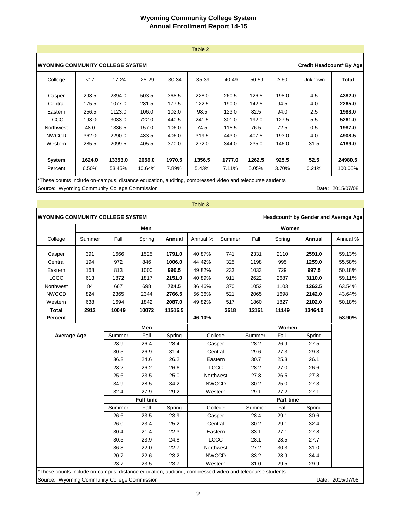#### Table 2

|                                                                                                                           | IWYOMING COMMUNITY COLLEGE SYSTEM<br>Credit Headcount* By Age |                                                                    |                                                             |                                                             |                                                           |                                                             |                                                           |                                                          |                                                |                                                                    |  |  |
|---------------------------------------------------------------------------------------------------------------------------|---------------------------------------------------------------|--------------------------------------------------------------------|-------------------------------------------------------------|-------------------------------------------------------------|-----------------------------------------------------------|-------------------------------------------------------------|-----------------------------------------------------------|----------------------------------------------------------|------------------------------------------------|--------------------------------------------------------------------|--|--|
| College                                                                                                                   | $<$ 17                                                        | 17-24                                                              | $25 - 29$                                                   | 30-34                                                       | 35-39                                                     | 40-49                                                       | 50-59                                                     | $\geq 60$                                                | Unknown                                        | Total                                                              |  |  |
| Casper<br>Central<br>Eastern<br><b>LCCC</b><br>Northwest<br><b>NWCCD</b><br>Western                                       | 298.5<br>175.5<br>256.5<br>198.0<br>48.0<br>362.0<br>285.5    | 2394.0<br>1077.0<br>1123.0<br>3033.0<br>1336.5<br>2290.0<br>2099.5 | 503.5<br>281.5<br>106.0<br>722.0<br>157.0<br>483.5<br>405.5 | 368.5<br>177.5<br>102.0<br>440.5<br>106.0<br>406.0<br>370.0 | 228.0<br>122.5<br>98.5<br>241.5<br>74.5<br>319.5<br>272.0 | 260.5<br>190.0<br>123.0<br>301.0<br>115.5<br>443.0<br>344.0 | 126.5<br>142.5<br>82.5<br>192.0<br>76.5<br>407.5<br>235.0 | 198.0<br>94.5<br>94.0<br>127.5<br>72.5<br>193.0<br>146.0 | 4.5<br>4.0<br>2.5<br>5.5<br>0.5<br>4.0<br>31.5 | 4382.0<br>2265.0<br>1988.0<br>5261.0<br>1987.0<br>4908.5<br>4189.0 |  |  |
| System                                                                                                                    | 1624.0                                                        | 13353.0                                                            | 2659.0                                                      | 1970.5                                                      | 1356.5                                                    | 1777.0                                                      | 1262.5                                                    | 925.5                                                    | 52.5                                           | 24980.5                                                            |  |  |
| Percent<br>المنافر والمتحاول والمستحير والمتحول والمتحول والمتحول والمتحول والمتحول والمتحول والمتحول والمستحقق والمستحقق | 6.50%                                                         | 53.45%                                                             | 10.64%                                                      | 7.89%                                                       | 5.43%                                                     | 7.11%                                                       | 5.05%                                                     | 3.70%                                                    | 0.21%                                          | 100.00%                                                            |  |  |

\*These counts include on-campus, distance education, auditing, compressed video and telecourse students

Source: Wyoming Community College Commission Date: 2015/07/08

|                                                                                                         |        |        |                  |         | Table 3      |         |        |                  |                                      |                  |
|---------------------------------------------------------------------------------------------------------|--------|--------|------------------|---------|--------------|---------|--------|------------------|--------------------------------------|------------------|
| <b>WYOMING COMMUNITY COLLEGE SYSTEM</b>                                                                 |        |        |                  |         |              |         |        |                  | Headcount* by Gender and Average Age |                  |
|                                                                                                         |        |        | Men              |         |              |         |        | Women            |                                      |                  |
| College                                                                                                 | Summer | Fall   | Spring           | Annual  | Annual %     | Summer  | Fall   | Spring           | Annual                               | Annual %         |
| Casper                                                                                                  | 391    | 1666   | 1525             | 1791.0  | 40.87%       | 741     | 2331   | 2110             | 2591.0                               | 59.13%           |
| Central                                                                                                 | 194    | 972    | 846              | 1006.0  | 44.42%       | 325     | 1198   | 995              | 1259.0                               | 55.58%           |
| Eastern                                                                                                 | 168    | 813    | 1000             | 990.5   | 49.82%       | 233     | 1033   | 729              | 997.5                                | 50.18%           |
| LCCC                                                                                                    | 613    | 1872   | 1817             | 2151.0  | 40.89%       | 911     | 2622   | 2687             | 3110.0                               | 59.11%           |
| Northwest                                                                                               | 84     | 667    | 698              | 724.5   | 36.46%       | 370     | 1052   | 1103             | 1262.5                               | 63.54%           |
| <b>NWCCD</b>                                                                                            | 824    | 2365   | 2344             | 2766.5  | 56.36%       | 521     | 2065   | 1698             | 2142.0                               | 43.64%           |
| Western                                                                                                 | 638    | 1694   | 1842             | 2087.0  | 49.82%       | 517     | 1860   | 1827             | 2102.0                               | 50.18%           |
| <b>Total</b>                                                                                            | 2912   | 10049  | 10072            | 11516.5 |              | 3618    | 12161  | 11149            | 13464.0                              |                  |
| Percent                                                                                                 |        |        |                  |         | 46.10%       |         |        |                  |                                      | 53.90%           |
|                                                                                                         |        |        | Men              |         |              |         |        | Women            |                                      |                  |
| <b>Average Age</b>                                                                                      |        | Summer | Fall             | Spring  |              | College |        | Fall             | Spring                               |                  |
|                                                                                                         |        | 28.9   | 26.4             | 28.4    | Casper       |         | 28.2   | 26.9             | 27.5                                 |                  |
|                                                                                                         |        | 30.5   | 26.9             | 31.4    |              | Central |        | 27.3             | 29.3                                 |                  |
|                                                                                                         |        | 36.2   | 24.6             | 26.2    | Eastern      |         | 30.7   | 25.3             | 26.1                                 |                  |
|                                                                                                         |        | 28.2   | 26.2             | 26.6    | LCCC         |         | 28.2   | 27.0             | 26.6                                 |                  |
|                                                                                                         |        | 25.6   | 23.5             | 25.0    | Northwest    |         | 27.8   | 26.5             | 27.8                                 |                  |
|                                                                                                         |        | 34.9   | 28.5             | 34.2    | <b>NWCCD</b> |         | 30.2   | 25.0             | 27.3                                 |                  |
|                                                                                                         |        | 32.4   | 27.9             | 29.2    | Western      |         | 29.1   | 27.2             | 27.1                                 |                  |
|                                                                                                         |        |        | <b>Full-time</b> |         |              |         |        | <b>Part-time</b> |                                      |                  |
|                                                                                                         |        | Summer | Fall             | Spring  | College      |         | Summer | Fall             | Spring                               |                  |
|                                                                                                         |        | 26.6   | 23.5             | 23.9    | Casper       |         | 28.4   | 29.1             | 30.6                                 |                  |
|                                                                                                         |        | 26.0   | 23.4             | 25.2    | Central      |         | 30.2   | 29.1             | 32.4                                 |                  |
|                                                                                                         |        | 30.4   | 21.4             | 22.3    | Eastern      |         | 33.1   | 27.1             | 27.8                                 |                  |
|                                                                                                         |        | 30.5   | 23.9             | 24.8    | LCCC         |         | 28.1   | 28.5             | 27.7                                 |                  |
|                                                                                                         |        | 36.3   | 22.0             | 22.7    | Northwest    |         | 27.2   | 30.3             | 31.0                                 |                  |
|                                                                                                         |        | 20.7   | 22.6             | 23.2    | <b>NWCCD</b> |         | 33.2   | 28.9             | 34.4                                 |                  |
|                                                                                                         |        | 23.7   | 23.5             | 23.7    | Western      |         | 31.0   | 29.5             | 29.9                                 |                  |
| *These counts include on-campus, distance education, auditing, compressed video and telecourse students |        |        |                  |         |              |         |        |                  |                                      |                  |
| Source: Wyoming Community College Commission                                                            |        |        |                  |         |              |         |        |                  |                                      | Date: 2015/07/08 |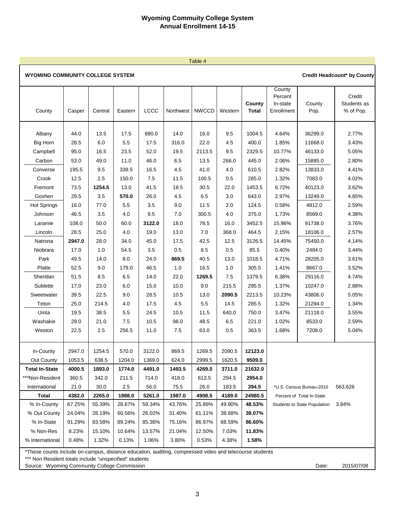Table 4

| <b>WYOMING COMMUNITY COLLEGE SYSTEM</b> |  |
|-----------------------------------------|--|
|-----------------------------------------|--|

|  | <b>Credit Headcount* by County</b> |  |  |
|--|------------------------------------|--|--|
|--|------------------------------------|--|--|

| County                | Casper | Central | Eastern | LCCC   | Northwest | <b>NWCCD</b> | Western | County<br><b>Total</b> | County<br>Percent<br>In-state<br>Enrollment | County<br>Pop.                      | Credit<br>Students as<br>% of Pop. |
|-----------------------|--------|---------|---------|--------|-----------|--------------|---------|------------------------|---------------------------------------------|-------------------------------------|------------------------------------|
| Albany                | 44.0   | 13.5    | 17.5    | 890.0  | 14.0      | 16.0         | 9.5     | 1004.5                 | 4.64%                                       | 36299.0                             | 2.77%                              |
| <b>Big Horn</b>       | 28.5   | 6.0     | 5.5     | 17.5   | 316.0     | 22.0         | 4.5     | 400.0                  | 1.85%                                       | 11668.0                             | 3.43%                              |
| Campbell              | 95.0   | 16.5    | 23.5    | 52.0   | 19.5      | 2113.5       | 9.5     | 2329.5                 | 10.77%                                      | 46133.0                             | 5.05%                              |
| Carbon                | 53.0   | 49.0    | 11.0    | 46.0   | 6.5       | 13.5         | 266.0   | 445.0                  | 2.06%                                       | 15885.0                             | 2.80%                              |
| Converse              | 195.5  | 9.5     | 339.5   | 16.5   | 4.5       | 41.0         | 4.0     | 610.5                  | 2.82%                                       | 13833.0                             | 4.41%                              |
| Crook                 | 12.5   | 2.5     | 150.0   | 7.5    | 11.5      | 100.5        | 0.5     | 285.0                  | 1.32%                                       | 7083.0                              | 4.02%                              |
| Fremont               | 73.5   | 1254.5  | 13.0    | 41.5   | 18.5      | 30.5         | 22.0    | 1453.5                 | 6.72%                                       | 40123.0                             | 3.62%                              |
| Goshen                | 29.5   | 3.5     | 570.0   | 26.0   | 4.5       | 6.5          | 3.0     | 643.0                  | 2.97%                                       | 13249.0                             | 4.85%                              |
| <b>Hot Springs</b>    | 16.0   | 77.0    | 5.5     | 3.5    | 9.0       | 11.5         | 2.0     | 124.5                  | 0.58%                                       | 4812.0                              | 2.59%                              |
| Johnson               | 46.5   | 3.5     | 4.0     | 9.5    | 7.0       | 300.5        | 4.0     | 375.0                  | 1.73%                                       | 8569.0                              | 4.38%                              |
| Laramie               | 108.0  | 50.0    | 60.0    | 3122.0 | 18.0      | 78.5         | 16.0    | 3452.5                 | 15.96%                                      | 91738.0                             | 3.76%                              |
| Lincoln               | 28.5   | 25.0    | 4.0     | 19.0   | 13.0      | 7.0          | 368.0   | 464.5                  | 2.15%                                       | 18106.0                             | 2.57%                              |
| Natrona               | 2947.0 | 28.0    | 34.0    | 45.0   | 17.5      | 42.5         | 12.5    | 3126.5                 | 14.45%                                      | 75450.0                             | 4.14%                              |
| Niobrara              | 17.0   | 1.0     | 54.5    | 3.5    | 0.5       | 8.5          | 0.5     | 85.5                   | 0.40%                                       | 2484.0                              | 3.44%                              |
| Park                  | 49.5   | 14.0    | 8.0     | 24.0   | 869.5     | 40.5         | 13.0    | 1018.5                 | 4.71%                                       | 28205.0                             | 3.61%                              |
| Platte                | 52.5   | 9.0     | 179.0   | 46.5   | 1.0       | 16.5         | 1.0     | 305.5                  | 1.41%                                       | 8667.0                              | 3.52%                              |
| Sheridan              | 51.5   | 8.5     | 6.5     | 14.0   | 22.0      | 1269.5       | 7.5     | 1379.5                 | 6.38%                                       | 29116.0                             | 4.74%                              |
| Sublette              | 17.0   | 23.0    | 6.0     | 15.0   | 10.0      | 9.0          | 215.5   | 295.5                  | 1.37%                                       | 10247.0                             | 2.88%                              |
| Sweetwater            | 39.5   | 22.5    | 9.0     | 28.5   | 10.5      | 13.0         | 2090.5  | 2213.5                 | 10.23%                                      | 43806.0                             | 5.05%                              |
| Teton                 | 25.0   | 214.5   | 4.0     | 17.5   | 4.5       | 5.5          | 14.5    | 285.5                  | 1.32%                                       | 21294.0                             | 1.34%                              |
| Uinta                 | 19.5   | 38.5    | 5.5     | 24.5   | 10.5      | 11.5         | 640.0   | 750.0                  | 3.47%                                       | 21118.0                             | 3.55%                              |
| Washakie              | 29.0   | 21.0    | 7.5     | 10.5   | 98.0      | 48.5         | 6.5     | 221.0                  | 1.02%                                       | 8533.0                              | 2.59%                              |
| Weston                | 22.5   | 2.5     | 256.5   | 11.0   | 7.5       | 63.0         | 0.5     | 363.5                  | 1.68%                                       | 7208.0                              | 5.04%                              |
|                       |        |         |         |        |           |              |         |                        |                                             |                                     |                                    |
| In-County             | 2947.0 | 1254.5  | 570.0   | 3122.0 | 869.5     | 1269.5       | 2090.5  | 12123.0                |                                             |                                     |                                    |
| Out County            | 1053.5 | 638.5   | 1204.0  | 1369.0 | 624.0     | 2999.5       | 1620.5  | 9509.0                 |                                             |                                     |                                    |
| <b>Total In-State</b> | 4000.5 | 1893.0  | 1774.0  | 4491.0 | 1493.5    | 4269.0       | 3711.0  | 21632.0                |                                             |                                     |                                    |
| ***Non-Resident       | 360.5  | 342.0   | 211.5   | 714.0  | 418.0     | 613.5        | 294.5   | 2954.0                 |                                             |                                     |                                    |
| International         | 21.0   | 30.0    | 2.5     | 56.0   | 75.5      | 26.0         | 183.5   | 394.5                  |                                             | *U.S. Census Bureau-2010            | 563,626                            |
| <b>Total</b>          | 4382.0 | 2265.0  | 1988.0  | 5261.0 | 1987.0    | 4908.5       | 4189.0  | 24980.5                |                                             | Percent of Total In-State           |                                    |
| % In-County           | 67.25% | 55.39%  | 28.67%  | 59.34% | 43.76%    | 25.86%       | 49.90%  | 48.53%                 |                                             | <b>Students to State Population</b> | 3.84%                              |
| % Out County          | 24.04% | 28.19%  | 60.56%  | 26.02% | 31.40%    | 61.11%       | 38.68%  | 38.07%                 |                                             |                                     |                                    |
| % In-State            | 91.29% | 83.58%  | 89.24%  | 85.36% | 75.16%    | 86.97%       | 88.59%  | 86.60%                 |                                             |                                     |                                    |
| % Non-Res             | 8.23%  | 15.10%  | 10.64%  | 13.57% | 21.04%    | 12.50%       | 7.03%   | 11.83%                 |                                             |                                     |                                    |
| % International       | 0.48%  | 1.32%   | 0.13%   | 1.06%  | 3.80%     | 0.53%        | 4.38%   | 1.58%                  |                                             |                                     |                                    |

\*These counts include on-campus, distance education, auditing, compressed video and telecourse students

\*\*\* Non Resident totals include "unspecified" students

Source: Wyoming Community College Commission **Date:** 2015/07/08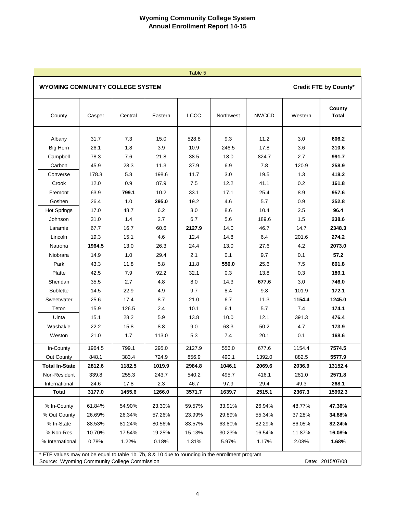#### Table 5

**Credit FTE by County\***

#### **WYOMING COMMUNITY COLLEGE SYSTEM**

# **County** County Casper Central Eastern LCCC Northwest NWCCD Western **Total** Albany 31.7 7.3 15.0 528.8 9.3 11.2 3.0 **606.2** Big Horn 26.1 1.8 3.9 10.9 246.5 17.8 3.6 **310.6** Campbell 78.3 7.6 21.8 38.5 18.0 824.7 2.7 **991.7** Carbon 45.9 28.3 11.3 37.9 6.9 7.8 120.9 **258.9** Converse 178.3 5.8 198.6 11.7 3.0 19.5 1.3 **418.2** Crook 12.0 0.9 87.9 7.5 12.2 41.1 0.2 **161.8** Fremont 63.9 **799.1** 10.2 33.1 17.1 25.4 8.9 **957.6** Goshen 26.4 1.0 **295.0** 19.2 4.6 5.7 0.9 **352.8** Hot Springs | 17.0 | 48.7 | 6.2 | 3.0 | 8.6 | 10.4 | 2.5 **| 96.4** Johnson 31.0 1.4 2.7 6.7 5.6 189.6 1.5 **238.6** Laramie 67.7 16.7 60.6 **2127.9** 14.0 46.7 14.7 **2348.3** Lincoln 19.3 15.1 4.6 12.4 14.8 6.4 201.6 **274.2** Natrona **1964.5** 13.0 26.3 24.4 13.0 27.6 4.2 **2073.0** Niobrara 14.9 1.0 29.4 2.1 0.1 9.7 0.1 **57.2** Park 43.3 11.8 5.8 11.8 **556.0** 25.6 7.5 **661.8** Platte | 42.5 | 7.9 | 92.2 | 32.1 | 0.3 | 13.8 | 0.3 **| 189.1** Sheridan 35.5 2.7 4.8 8.0 14.3 **677.6** 3.0 **746.0** Sublette 14.5 22.9 4.9 9.7 8.4 9.8 101.9 **172.1** Sweetwater 25.6 17.4 8.7 21.0 6.7 11.3 **1154.4 1245.0** Teton 15.9 126.5 2.4 10.1 6.1 5.7 7.4 **174.1** Uinta 15.1 28.2 5.9 13.8 10.0 12.1 391.3 **476.4** Washakie 22.2 15.8 8.8 9.0 63.3 50.2 4.7 **173.9** Weston 21.0 1.7 113.0 5.3 7.4 20.1 0.1 **168.6** In-County 1964.5 799.1 295.0 2127.9 556.0 677.6 1154.4 **7574.5** Out County 848.1 383.4 724.9 856.9 490.1 1392.0 882.5 **5577.9 Total In-State 2812.6 1182.5 1019.9 2984.8 1046.1 2069.6 2036.9 13152.4** Non-Resident 339.8 255.3 243.7 540.2 495.7 416.1 281.0 **2571.8** International 24.6 17.8 2.3 46.7 97.9 29.4 49.3 **268.1 Total 3177.0 1455.6 1266.0 3571.7 1639.7 2515.1 2367.3 15992.3** % In-County 61.84% 54.90% 23.30% 59.57% 33.91% 26.94% 48.77% **47.36%** % Out County 26.69% 26.34% 57.26% 23.99% 29.89% 55.34% 37.28% **34.88%** % In-State 88.53% 81.24% 80.56% 83.57% 63.80% 82.29% 86.05% **82.24%** % Non-Res 10.70% 17.54% 19.25% 15.13% 30.23% 16.54% 11.87% **16.08%** % International 0.78% 1.22% 0.18% 1.31% 5.97% 1.17% 2.08% **1.68%** \* FTE values may not be equal to table 1b, 7b, 8 & 10 due to rounding in the enrollment program Source: Wyoming Community College Commission **Date: 2015/07/08** Date: 2015/07/08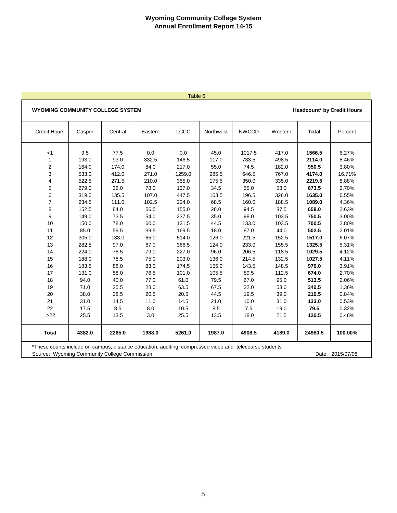#### Table 6

#### **WYOMING COMMUNITY COLLEGE SYSTEM**

**Headcount\* by Credit Hours**

| <b>Credit Hours</b> | Casper | Central | Eastern | LCCC   | Northwest | <b>NWCCD</b> | Western | <b>Total</b> | Percent |
|---------------------|--------|---------|---------|--------|-----------|--------------|---------|--------------|---------|
| $<$ 1               | 9.5    | 77.5    | 0.0     | 0.0    | 45.0      | 1017.5       | 417.0   | 1566.5       | 6.27%   |
| 1                   | 193.0  | 93.0    | 332.5   | 146.5  | 117.0     | 733.5        | 498.5   | 2114.0       | 8.46%   |
| 2                   | 164.0  | 174.0   | 84.0    | 217.0  | 55.0      | 74.5         | 182.0   | 950.5        | 3.80%   |
| 3                   | 533.0  | 412.0   | 271.0   | 1259.0 | 285.5     | 646.5        | 767.0   | 4174.0       | 16.71%  |
| 4                   | 522.5  | 271.5   | 210.0   | 355.0  | 175.5     | 350.0        | 335.0   | 2219.5       | 8.88%   |
| 5                   | 279.0  | 32.0    | 78.0    | 137.0  | 34.5      | 55.0         | 58.0    | 673.5        | 2.70%   |
| 6                   | 319.0  | 135.5   | 107.0   | 447.5  | 103.5     | 196.5        | 326.0   | 1635.0       | 6.55%   |
| $\overline{7}$      | 234.5  | 111.0   | 102.5   | 224.0  | 68.5      | 160.0        | 188.5   | 1089.0       | 4.36%   |
| 8                   | 152.5  | 84.0    | 56.5    | 155.0  | 28.0      | 94.5         | 87.5    | 658.0        | 2.63%   |
| 9                   | 149.0  | 73.5    | 54.0    | 237.5  | 35.0      | 98.0         | 103.5   | 750.5        | 3.00%   |
| 10                  | 150.0  | 78.0    | 60.0    | 131.5  | 44.5      | 133.0        | 103.5   | 700.5        | 2.80%   |
| 11                  | 85.0   | 59.5    | 39.5    | 169.5  | 18.0      | 87.0         | 44.0    | 502.5        | 2.01%   |
| 12                  | 305.0  | 133.0   | 65.0    | 514.0  | 126.0     | 221.5        | 152.5   | 1517.0       | 6.07%   |
| 13                  | 282.5  | 97.0    | 67.0    | 366.5  | 124.0     | 233.0        | 155.5   | 1325.5       | 5.31%   |
| 14                  | 224.0  | 78.5    | 79.0    | 227.0  | 96.0      | 206.5        | 118.5   | 1029.5       | 4.12%   |
| 15                  | 188.0  | 78.5    | 75.0    | 203.0  | 136.0     | 214.5        | 132.5   | 1027.5       | 4.11%   |
| 16                  | 183.5  | 88.0    | 83.0    | 174.5  | 155.0     | 143.5        | 148.5   | 976.0        | 3.91%   |
| 17                  | 131.0  | 58.0    | 76.5    | 101.0  | 105.5     | 89.5         | 112.5   | 674.0        | 2.70%   |
| 18                  | 94.0   | 40.0    | 77.0    | 61.0   | 79.5      | 67.0         | 95.0    | 513.5        | 2.06%   |
| 19                  | 71.0   | 25.5    | 28.0    | 63.5   | 67.5      | 32.0         | 53.0    | 340.5        | 1.36%   |
| 20                  | 38.0   | 28.5    | 20.5    | 20.5   | 44.5      | 19.5         | 39.0    | 210.5        | 0.84%   |
| 21                  | 31.0   | 14.5    | 11.0    | 14.5   | 21.0      | 10.0         | 31.0    | 133.0        | 0.53%   |
| 22                  | 17.5   | 8.5     | 8.0     | 10.5   | 8.5       | 7.5          | 19.0    | 79.5         | 0.32%   |
| $>22$               | 25.5   | 13.5    | 3.0     | 25.5   | 13.5      | 18.0         | 21.5    | 120.5        | 0.48%   |
| <b>Total</b>        | 4382.0 | 2265.0  | 1988.0  | 5261.0 | 1987.0    | 4908.5       | 4189.0  | 24980.5      | 100.00% |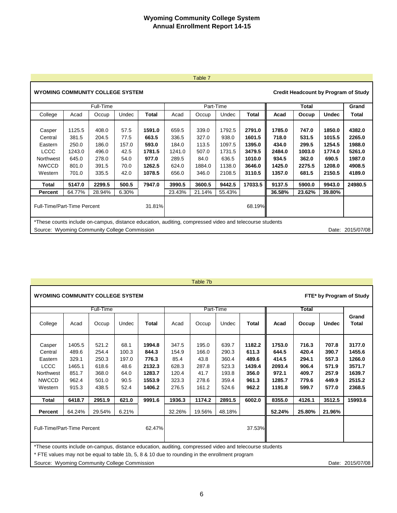#### Table 7

# **WYOMING COMMUNITY COLLEGE SYSTEM**

|                                                                                                                                                         |        | Full-Time |       |        |        |        | Part-Time |         |        | Total  |              | Grand            |
|---------------------------------------------------------------------------------------------------------------------------------------------------------|--------|-----------|-------|--------|--------|--------|-----------|---------|--------|--------|--------------|------------------|
| College                                                                                                                                                 | Acad   | Occup     | Undec | Total  | Acad   | Occup  | Undec     | Total   | Acad   | Occup  | <b>Undec</b> | Total            |
|                                                                                                                                                         |        |           |       |        |        |        |           |         |        |        |              |                  |
| Casper                                                                                                                                                  | 1125.5 | 408.0     | 57.5  | 1591.0 | 659.5  | 339.0  | 1792.5    | 2791.0  | 1785.0 | 747.0  | 1850.0       | 4382.0           |
| Central                                                                                                                                                 | 381.5  | 204.5     | 77.5  | 663.5  | 336.5  | 327.0  | 938.0     | 1601.5  | 718.0  | 531.5  | 1015.5       | 2265.0           |
| Eastern                                                                                                                                                 | 250.0  | 186.0     | 157.0 | 593.0  | 184.0  | 113.5  | 1097.5    | 1395.0  | 434.0  | 299.5  | 1254.5       | 1988.0           |
| <b>LCCC</b>                                                                                                                                             | 1243.0 | 496.0     | 42.5  | 1781.5 | 1241.0 | 507.0  | 1731.5    | 3479.5  | 2484.0 | 1003.0 | 1774.0       | 5261.0           |
| Northwest                                                                                                                                               | 645.0  | 278.0     | 54.0  | 977.0  | 289.5  | 84.0   | 636.5     | 1010.0  | 934.5  | 362.0  | 690.5        | 1987.0           |
| <b>NWCCD</b>                                                                                                                                            | 801.0  | 391.5     | 70.0  | 1262.5 | 624.0  | 1884.0 | 1138.0    | 3646.0  | 1425.0 | 2275.5 | 1208.0       | 4908.5           |
| Western                                                                                                                                                 | 701.0  | 335.5     | 42.0  | 1078.5 | 656.0  | 346.0  | 2108.5    | 3110.5  | 1357.0 | 681.5  | 2150.5       | 4189.0           |
| Total                                                                                                                                                   | 5147.0 | 2299.5    | 500.5 | 7947.0 | 3990.5 | 3600.5 | 9442.5    | 17033.5 | 9137.5 | 5900.0 | 9943.0       | 24980.5          |
| Percent                                                                                                                                                 | 64.77% | 28.94%    | 6.30% |        | 23.43% | 21.14% | 55.43%    |         | 36.58% | 23.62% | 39.80%       |                  |
| <b>Full-Time/Part-Time Percent</b>                                                                                                                      |        |           |       | 31.81% |        |        |           | 68.19%  |        |        |              |                  |
| *These counts include on-campus, distance education, auditing, compressed video and telecourse students<br>Source: Wyoming Community College Commission |        |           |       |        |        |        |           |         |        |        |              | Date: 2015/07/08 |

#### Table 7b

|                                                                                                         | FTE* by Program of Study<br><b>WYOMING COMMUNITY COLLEGE SYSTEM</b> |                                                             |                                                        |                                                                  |                                                            |                                                           |                                                             |                                                               |                                                                 |                                                             |                                                             |                                                                    |
|---------------------------------------------------------------------------------------------------------|---------------------------------------------------------------------|-------------------------------------------------------------|--------------------------------------------------------|------------------------------------------------------------------|------------------------------------------------------------|-----------------------------------------------------------|-------------------------------------------------------------|---------------------------------------------------------------|-----------------------------------------------------------------|-------------------------------------------------------------|-------------------------------------------------------------|--------------------------------------------------------------------|
|                                                                                                         |                                                                     | Full-Time                                                   |                                                        |                                                                  |                                                            |                                                           | Part-Time                                                   |                                                               |                                                                 | Total                                                       |                                                             |                                                                    |
| College                                                                                                 | Acad                                                                | Occup                                                       | Undec                                                  | <b>Total</b>                                                     | Acad                                                       | Occup                                                     | Undec                                                       | <b>Total</b>                                                  | Acad                                                            | Occup                                                       | <b>Undec</b>                                                | Grand<br>Total                                                     |
| Casper<br>Central<br>Eastern<br><b>LCCC</b><br>Northwest<br><b>NWCCD</b><br>Western                     | 1405.5<br>489.6<br>329.1<br>1465.1<br>851.7<br>962.4<br>915.3       | 521.2<br>254.4<br>250.3<br>618.6<br>368.0<br>501.0<br>438.5 | 68.1<br>100.3<br>197.0<br>48.6<br>64.0<br>90.5<br>52.4 | 1994.8<br>844.3<br>776.3<br>2132.3<br>1283.7<br>1553.9<br>1406.2 | 347.5<br>154.9<br>85.4<br>628.3<br>120.4<br>323.3<br>276.5 | 195.0<br>166.0<br>43.8<br>287.8<br>41.7<br>278.6<br>161.2 | 639.7<br>290.3<br>360.4<br>523.3<br>193.8<br>359.4<br>524.6 | 1182.2<br>611.3<br>489.6<br>1439.4<br>356.0<br>961.3<br>962.2 | 1753.0<br>644.5<br>414.5<br>2093.4<br>972.1<br>1285.7<br>1191.8 | 716.3<br>420.4<br>294.1<br>906.4<br>409.7<br>779.6<br>599.7 | 707.8<br>390.7<br>557.3<br>571.9<br>257.9<br>449.9<br>577.0 | 3177.0<br>1455.6<br>1266.0<br>3571.7<br>1639.7<br>2515.2<br>2368.5 |
| Total                                                                                                   | 6418.7                                                              | 2951.9                                                      | 621.0                                                  | 9991.6                                                           | 1936.3                                                     | 1174.2                                                    | 2891.5                                                      | 6002.0                                                        | 8355.0                                                          | 4126.1                                                      | 3512.5                                                      | 15993.6                                                            |
| Percent                                                                                                 | 64.24%                                                              | 29.54%                                                      | 6.21%                                                  |                                                                  | 32.26%                                                     | 19.56%                                                    | 48.18%                                                      |                                                               | 52.24%                                                          | 25.80%                                                      | 21.96%                                                      |                                                                    |
| Full-Time/Part-Time Percent                                                                             |                                                                     |                                                             |                                                        | 62.47%                                                           |                                                            |                                                           |                                                             | 37.53%                                                        |                                                                 |                                                             |                                                             |                                                                    |
| *These counts include on-campus, distance education, auditing, compressed video and telecourse students |                                                                     |                                                             |                                                        |                                                                  |                                                            |                                                           |                                                             |                                                               |                                                                 |                                                             |                                                             |                                                                    |

\* FTE values may not be equal to table 1b, 5, 8 & 10 due to rounding in the enrollment program

Source: Wyoming Community College Commission commercial control of the Control of the Date: 2015/07/08

**Credit Headcount by Program of Study**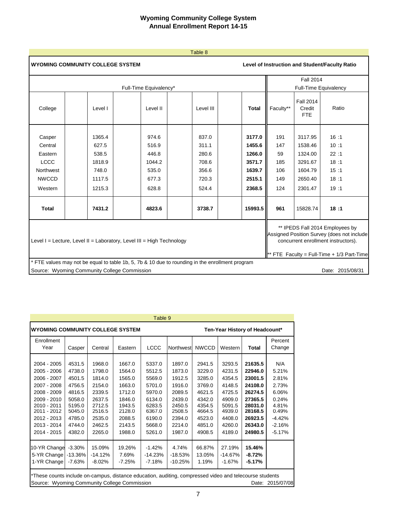|              |                                                                                                 |                        | Table 8   |              |           |                                          |                                                                                                                                                                 |
|--------------|-------------------------------------------------------------------------------------------------|------------------------|-----------|--------------|-----------|------------------------------------------|-----------------------------------------------------------------------------------------------------------------------------------------------------------------|
|              | <b>WYOMING COMMUNITY COLLEGE SYSTEM</b>                                                         |                        |           |              |           |                                          | Level of Instruction and Student/Faculty Ratio                                                                                                                  |
|              |                                                                                                 |                        |           |              |           | <b>Fall 2014</b>                         |                                                                                                                                                                 |
|              |                                                                                                 | Full-Time Equivalency* |           |              |           | <b>Full-Time Equivalency</b>             |                                                                                                                                                                 |
| College      | Level I                                                                                         | Level II               | Level III | <b>Total</b> | Faculty** | <b>Fall 2014</b><br>Credit<br><b>FTE</b> | Ratio                                                                                                                                                           |
| Casper       | 1365.4                                                                                          | 974.6                  | 837.0     | 3177.0       | 191       | 3117.95                                  | 16:1                                                                                                                                                            |
| Central      | 627.5                                                                                           | 516.9                  | 311.1     | 1455.6       | 147       | 1538.46                                  | 10:1                                                                                                                                                            |
| Eastern      | 538.5                                                                                           | 446.8                  | 280.6     | 1266.0       | 59        | 1324.00                                  | 22:1                                                                                                                                                            |
| <b>LCCC</b>  | 1818.9                                                                                          | 1044.2                 | 708.6     | 3571.7       | 185       | 3291.67                                  | 18:1                                                                                                                                                            |
| Northwest    | 748.0                                                                                           | 535.0                  | 356.6     | 1639.7       | 106       | 1604.79                                  | 15:1                                                                                                                                                            |
| <b>NWCCD</b> | 1117.5                                                                                          | 677.3                  | 720.3     | 2515.1       | 149       | 2650.40                                  | 18:1                                                                                                                                                            |
| Western      | 1215.3                                                                                          | 628.8                  | 524.4     | 2368.5       | 124       | 2301.47                                  | 19:1                                                                                                                                                            |
| <b>Total</b> | 7431.2                                                                                          | 4823.6                 | 3738.7    | 15993.5      | 961       | 15828.74                                 | 18:1                                                                                                                                                            |
|              | Level $I =$ Lecture, Level II = Laboratory, Level III = High Technology                         |                        |           |              |           |                                          | ** IPEDS Fall 2014 Employees by<br>Assigned Position Survey (does not include<br>concurrent enrollment instructors).<br>FTE Faculty = Full-Time + 1/3 Part-Time |
|              | * FTE values may not be equal to table 1b, 5, 7b & 10 due to rounding in the enrollment program |                        |           |              |           |                                          |                                                                                                                                                                 |
|              | Source: Wyoming Community College Commission                                                    |                        |           |              |           |                                          | Date: 2015/08/31                                                                                                                                                |

|                                                                                                                                                                   |                                                                                                                                                                             |                                                                                                            |                                                                                                            | Table 9                                                                                                    |                                                                                                            |                                                                                                            |                                                                                                            |                                                                                                                       |                                                                                                        |  |  |  |
|-------------------------------------------------------------------------------------------------------------------------------------------------------------------|-----------------------------------------------------------------------------------------------------------------------------------------------------------------------------|------------------------------------------------------------------------------------------------------------|------------------------------------------------------------------------------------------------------------|------------------------------------------------------------------------------------------------------------|------------------------------------------------------------------------------------------------------------|------------------------------------------------------------------------------------------------------------|------------------------------------------------------------------------------------------------------------|-----------------------------------------------------------------------------------------------------------------------|--------------------------------------------------------------------------------------------------------|--|--|--|
| <b>WYOMING COMMUNITY COLLEGE SYSTEM</b><br>Ten-Year History of Headcount*                                                                                         |                                                                                                                                                                             |                                                                                                            |                                                                                                            |                                                                                                            |                                                                                                            |                                                                                                            |                                                                                                            |                                                                                                                       |                                                                                                        |  |  |  |
| Enrollment<br>Year                                                                                                                                                | Casper                                                                                                                                                                      | Central                                                                                                    | Eastern                                                                                                    | <b>LCCC</b>                                                                                                | Northwest                                                                                                  | <b>NWCCD</b>                                                                                               | Western                                                                                                    | Total                                                                                                                 | Percent<br>Change                                                                                      |  |  |  |
| 2004 - 2005<br>2005 - 2006<br>2006 - 2007<br>2007 - 2008<br>2008 - 2009<br>2009 - 2010<br>2010 - 2011<br>2011 - 2012<br>2012 - 2013<br>2013 - 2014<br>2014 - 2015 | 4531.5<br>4738.0<br>4501.5<br>4756.5<br>4816.5<br>5058.0<br>5195.0<br>5045.0<br>4785.0<br>4744.0<br>4382.0                                                                  | 1968.0<br>1798.0<br>1814.0<br>2154.0<br>2339.5<br>2637.5<br>2712.5<br>2516.5<br>2535.0<br>2462.5<br>2265.0 | 1667.0<br>1564.0<br>1565.0<br>1663.0<br>1712.0<br>1846.0<br>1943.5<br>2128.0<br>2088.5<br>2143.5<br>1988.0 | 5337.0<br>5512.5<br>5569.0<br>5701.0<br>5970.0<br>6134.0<br>6283.5<br>6367.0<br>6190.0<br>5668.0<br>5261.0 | 1897.0<br>1873.0<br>1912.5<br>1916.0<br>2089.5<br>2439.0<br>2450.5<br>2508.5<br>2394.0<br>2214.0<br>1987.0 | 2941.5<br>3229.0<br>3285.0<br>3769.0<br>4621.5<br>4342.0<br>4354.5<br>4664.5<br>4523.0<br>4851.0<br>4908.5 | 3293.5<br>4231.5<br>4354.5<br>4148.5<br>4725.5<br>4909.0<br>5091.5<br>4939.0<br>4408.0<br>4260.0<br>4189.0 | 21635.5<br>22946.0<br>23001.5<br>24108.0<br>26274.5<br>27365.5<br>28031.0<br>28168.5<br>26923.5<br>26343.0<br>24980.5 | N/A<br>5.21%<br>2.81%<br>2.73%<br>6.06%<br>0.24%<br>4.81%<br>0.49%<br>$-4.42%$<br>$-2.16%$<br>$-5.17%$ |  |  |  |
| 10-YR Change<br>5-YR Change<br>1-YR Change                                                                                                                        | $-3.30%$<br>$-13.36%$<br>$-7.63%$                                                                                                                                           | 15.09%<br>$-14.12%$<br>$-8.02%$                                                                            | 19.26%<br>7.69%<br>$-7.25%$                                                                                | $-1.42%$<br>$-14.23%$<br>$-7.18%$                                                                          | 4.74%<br>$-18.53%$<br>$-10.25%$                                                                            | 66.87%<br>13.05%<br>1.19%                                                                                  | 27.19%<br>$-14.67%$<br>$-1.67%$                                                                            | 15.46%<br>-8.72%<br>-5.17%                                                                                            |                                                                                                        |  |  |  |
|                                                                                                                                                                   | *These counts include on-campus, distance education, auditing, compressed video and telecourse students<br>Source: Wyoming Community College Commission<br>Date: 2015/07/08 |                                                                                                            |                                                                                                            |                                                                                                            |                                                                                                            |                                                                                                            |                                                                                                            |                                                                                                                       |                                                                                                        |  |  |  |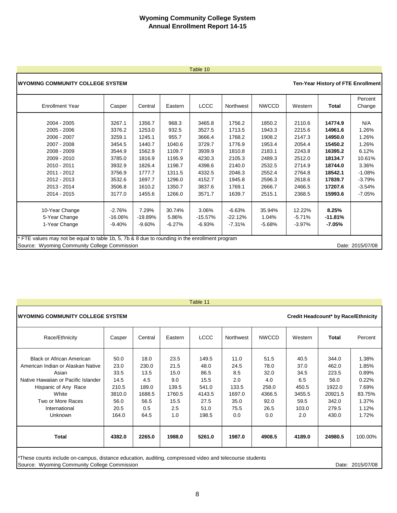#### Table 10

#### **WYOMING COMMUNITY COLLEGE SYSTEM**

#### **Ten-Year History of FTE Enrollment**

| <b>Enrollment Year</b>                                                                                                                                                                                                                                                                                                                                                                                                                                                                             | Casper                                                                                                     | Central                                                                                                    | Eastern                                                                                                 | <b>LCCC</b>                                                                                                | Northwest                                                                                                  | <b>NWCCD</b>                                                                                               | Western                                                                                                    | Total                                                                                                                 | Percent<br>Change                                                                                          |
|----------------------------------------------------------------------------------------------------------------------------------------------------------------------------------------------------------------------------------------------------------------------------------------------------------------------------------------------------------------------------------------------------------------------------------------------------------------------------------------------------|------------------------------------------------------------------------------------------------------------|------------------------------------------------------------------------------------------------------------|---------------------------------------------------------------------------------------------------------|------------------------------------------------------------------------------------------------------------|------------------------------------------------------------------------------------------------------------|------------------------------------------------------------------------------------------------------------|------------------------------------------------------------------------------------------------------------|-----------------------------------------------------------------------------------------------------------------------|------------------------------------------------------------------------------------------------------------|
| 2004 - 2005<br>2005 - 2006<br>2006 - 2007<br>2007 - 2008<br>2008 - 2009<br>2009 - 2010<br>2010 - 2011<br>2011 - 2012<br>2012 - 2013<br>2013 - 2014<br>2014 - 2015                                                                                                                                                                                                                                                                                                                                  | 3267.1<br>3376.2<br>3259.1<br>3454.5<br>3544.9<br>3785.0<br>3932.9<br>3756.9<br>3532.6<br>3506.8<br>3177.0 | 1356.7<br>1253.0<br>1245.1<br>1440.7<br>1562.9<br>1816.9<br>1826.4<br>1777.7<br>1697.7<br>1610.2<br>1455.6 | 968.3<br>932.5<br>955.7<br>1040.6<br>1109.7<br>1195.9<br>1198.7<br>1311.5<br>1296.0<br>1350.7<br>1266.0 | 3465.8<br>3527.5<br>3666.4<br>3729.7<br>3939.9<br>4230.3<br>4398.6<br>4332.5<br>4152.7<br>3837.6<br>3571.7 | 1756.2<br>1713.5<br>1768.2<br>1776.9<br>1810.8<br>2105.3<br>2140.0<br>2046.3<br>1945.8<br>1769.1<br>1639.7 | 1850.2<br>1943.3<br>1908.2<br>1953.4<br>2183.1<br>2489.3<br>2532.5<br>2552.4<br>2596.3<br>2666.7<br>2515.1 | 2110.6<br>2215.6<br>2147.3<br>2054.4<br>2243.8<br>2512.0<br>2714.9<br>2764.8<br>2618.6<br>2466.5<br>2368.5 | 14774.9<br>14961.6<br>14950.0<br>15450.2<br>16395.2<br>18134.7<br>18744.0<br>18542.1<br>17839.7<br>17207.6<br>15993.6 | N/A<br>1.26%<br>1.26%<br>1.26%<br>6.12%<br>10.61%<br>3.36%<br>$-1.08%$<br>$-3.79%$<br>$-3.54%$<br>$-7.05%$ |
| 7.29%<br>12.22%<br>8.25%<br>10-Year Change<br>$-2.76%$<br>30.74%<br>3.06%<br>$-6.63%$<br>35.94%<br>5-Year Change<br>5.86%<br>$-22.12%$<br>1.04%<br>$-11.81%$<br>$-16.06%$<br>$-19.89%$<br>$-15.57%$<br>$-5.71%$<br>1-Year Change<br>$-9.60%$<br>$-6.27%$<br>$-6.93%$<br>$-7.31%$<br>$-5.68%$<br>$-3.97%$<br>-7.05%<br>-9.40%<br>* FTE values may not be equal to table 1b, 5, 7b & 8 due to rounding in the enrollment program<br>Source: Wyoming Community College Commission<br>Date: 2015/07/08 |                                                                                                            |                                                                                                            |                                                                                                         |                                                                                                            |                                                                                                            |                                                                                                            |                                                                                                            |                                                                                                                       |                                                                                                            |

| Table 11 |  |  |
|----------|--|--|
|          |  |  |

| <b>IWYOMING COMMUNITY COLLEGE SYSTEM</b><br>Credit Headcount* by Race/Ethnicity                                                                                                                                |                                                                          |                                                                        |                                                                      |                                                                           |                                                                      |                                                                       |                                                                        |                                                                                 |                                                                                |
|----------------------------------------------------------------------------------------------------------------------------------------------------------------------------------------------------------------|--------------------------------------------------------------------------|------------------------------------------------------------------------|----------------------------------------------------------------------|---------------------------------------------------------------------------|----------------------------------------------------------------------|-----------------------------------------------------------------------|------------------------------------------------------------------------|---------------------------------------------------------------------------------|--------------------------------------------------------------------------------|
| Race/Ethnicity                                                                                                                                                                                                 | Casper                                                                   | Central                                                                | Eastern                                                              | <b>LCCC</b>                                                               | Northwest                                                            | <b>NWCCD</b>                                                          | Western                                                                | Total                                                                           | Percent                                                                        |
| <b>Black or African American</b><br>American Indian or Alaskan Native<br>Asian<br>Native Hawaiian or Pacific Islander<br>Hispanic of Any Race<br>White<br>Two or More Races<br>International<br><b>Unknown</b> | 50.0<br>23.0<br>33.5<br>14.5<br>210.5<br>3810.0<br>56.0<br>20.5<br>164.0 | 18.0<br>230.0<br>13.5<br>4.5<br>189.0<br>1688.5<br>56.5<br>0.5<br>64.5 | 23.5<br>21.5<br>15.0<br>9.0<br>139.5<br>1760.5<br>15.5<br>2.5<br>1.0 | 149.5<br>48.0<br>86.5<br>15.5<br>541.0<br>4143.5<br>27.5<br>51.0<br>198.5 | 11.0<br>24.5<br>8.5<br>2.0<br>133.5<br>1697.0<br>35.0<br>75.5<br>0.0 | 51.5<br>78.0<br>32.0<br>4.0<br>258.0<br>4366.5<br>92.0<br>26.5<br>0.0 | 40.5<br>37.0<br>34.5<br>6.5<br>450.5<br>3455.5<br>59.5<br>103.0<br>2.0 | 344.0<br>462.0<br>223.5<br>56.0<br>1922.0<br>20921.5<br>342.0<br>279.5<br>430.0 | 1.38%<br>1.85%<br>0.89%<br>0.22%<br>7.69%<br>83.75%<br>1.37%<br>1.12%<br>1.72% |
| Total                                                                                                                                                                                                          | 4382.0                                                                   | 2265.0                                                                 | 1988.0                                                               | 5261.0                                                                    | 1987.0                                                               | 4908.5                                                                | 4189.0                                                                 | 24980.5                                                                         | 100.00%                                                                        |

\*These counts include on-campus, distance education, auditing, compressed video and telecourse students Source: Wyoming Community College Commission **Date: 2015/07/08** Date: 2015/07/08